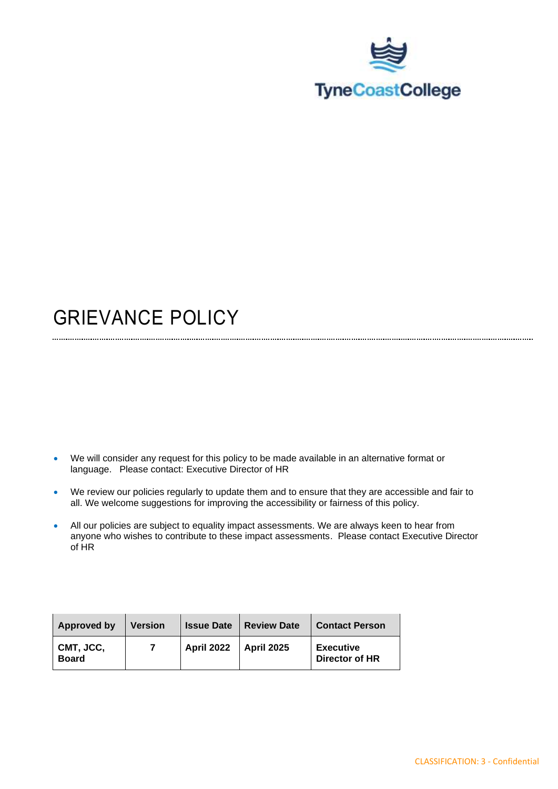

## GRIEVANCE POLICY

- We will consider any request for this policy to be made available in an alternative format or language. Please contact: Executive Director of HR
- We review our policies regularly to update them and to ensure that they are accessible and fair to all. We welcome suggestions for improving the accessibility or fairness of this policy.
- All our policies are subject to equality impact assessments. We are always keen to hear from anyone who wishes to contribute to these impact assessments. Please contact Executive Director of HR

| Approved by               | <b>Version</b> | <b>Issue Date</b> | <b>Review Date</b> | <b>Contact Person</b>              |
|---------------------------|----------------|-------------------|--------------------|------------------------------------|
| CMT, JCC,<br><b>Board</b> |                | <b>April 2022</b> | <b>April 2025</b>  | <b>Executive</b><br>Director of HR |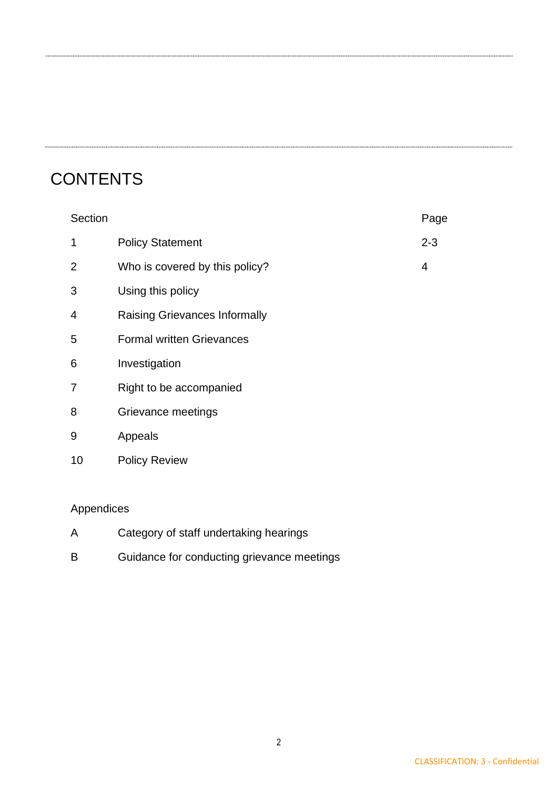#### **CONTENTS**

| Section |                                      | Page    |
|---------|--------------------------------------|---------|
| 1       | <b>Policy Statement</b>              | $2 - 3$ |
| 2       | Who is covered by this policy?       | 4       |
| 3       | Using this policy                    |         |
| 4       | <b>Raising Grievances Informally</b> |         |
| 5       | <b>Formal written Grievances</b>     |         |
| 6       | Investigation                        |         |
| 7       | Right to be accompanied              |         |
| 8       | Grievance meetings                   |         |
| 9       | Appeals                              |         |
| 10      | <b>Policy Review</b>                 |         |
|         |                                      |         |

#### Appendices

- A Category of staff undertaking hearings
- B Guidance for conducting grievance meetings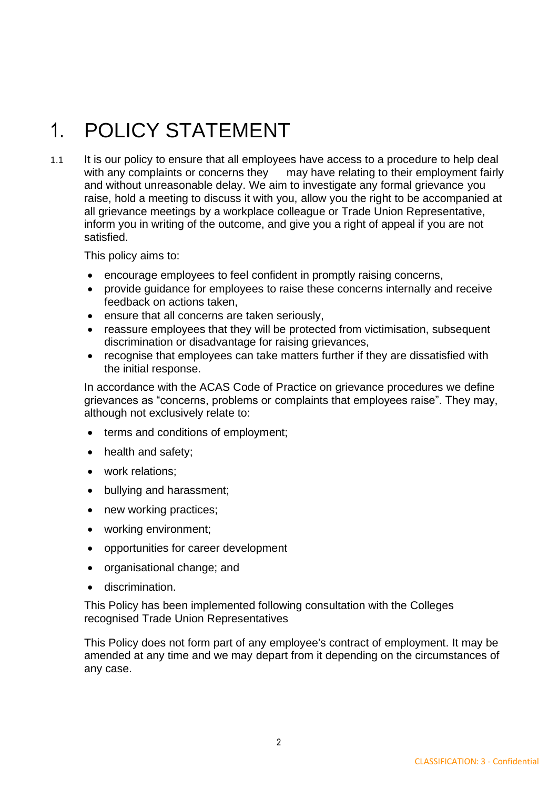# 1. POLICY STATEMENT

1.1 It is our policy to ensure that all employees have access to a procedure to help deal with any complaints or concerns they may have relating to their employment fairly and without unreasonable delay. We aim to investigate any formal grievance you raise, hold a meeting to discuss it with you, allow you the right to be accompanied at all grievance meetings by a workplace colleague or Trade Union Representative, inform you in writing of the outcome, and give you a right of appeal if you are not satisfied.

This policy aims to:

- encourage employees to feel confident in promptly raising concerns,
- provide guidance for employees to raise these concerns internally and receive feedback on actions taken,
- ensure that all concerns are taken seriously,
- reassure employees that they will be protected from victimisation, subsequent discrimination or disadvantage for raising grievances,
- recognise that employees can take matters further if they are dissatisfied with the initial response.

In accordance with the ACAS Code of Practice on grievance procedures we define grievances as "concerns, problems or complaints that employees raise". They may, although not exclusively relate to:

- terms and conditions of employment;
- health and safety;
- work relations:
- bullying and harassment;
- new working practices;
- working environment;
- opportunities for career development
- organisational change; and
- discrimination.

This Policy has been implemented following consultation with the Colleges recognised Trade Union Representatives

This Policy does not form part of any employee's contract of employment. It may be amended at any time and we may depart from it depending on the circumstances of any case.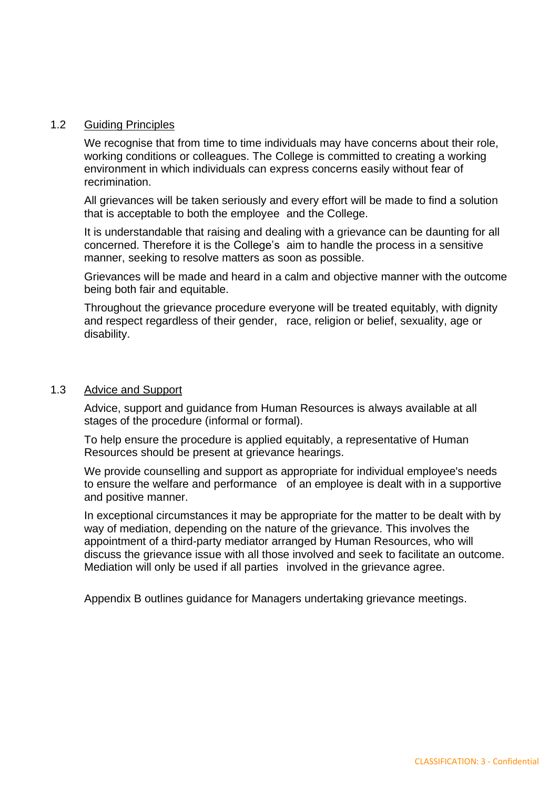#### 1.2 Guiding Principles

We recognise that from time to time individuals may have concerns about their role, working conditions or colleagues. The College is committed to creating a working environment in which individuals can express concerns easily without fear of recrimination.

All grievances will be taken seriously and every effort will be made to find a solution that is acceptable to both the employee and the College.

It is understandable that raising and dealing with a grievance can be daunting for all concerned. Therefore it is the College's aim to handle the process in a sensitive manner, seeking to resolve matters as soon as possible.

Grievances will be made and heard in a calm and objective manner with the outcome being both fair and equitable.

Throughout the grievance procedure everyone will be treated equitably, with dignity and respect regardless of their gender, race, religion or belief, sexuality, age or disability.

#### 1.3 Advice and Support

Advice, support and guidance from Human Resources is always available at all stages of the procedure (informal or formal).

To help ensure the procedure is applied equitably, a representative of Human Resources should be present at grievance hearings.

We provide counselling and support as appropriate for individual employee's needs to ensure the welfare and performance of an employee is dealt with in a supportive and positive manner.

In exceptional circumstances it may be appropriate for the matter to be dealt with by way of mediation, depending on the nature of the grievance. This involves the appointment of a third-party mediator arranged by Human Resources, who will discuss the grievance issue with all those involved and seek to facilitate an outcome. Mediation will only be used if all parties involved in the grievance agree.

Appendix B outlines guidance for Managers undertaking grievance meetings.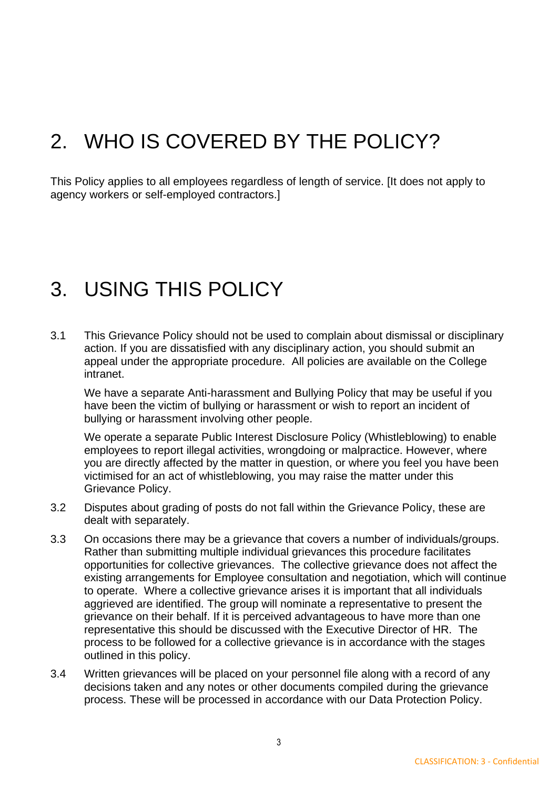## 2. WHO IS COVERED BY THE POLICY?

This Policy applies to all employees regardless of length of service. [It does not apply to agency workers or self-employed contractors.]

### 3. USING THIS POLICY

3.1 This Grievance Policy should not be used to complain about dismissal or disciplinary action. If you are dissatisfied with any disciplinary action, you should submit an appeal under the appropriate procedure. All policies are available on the College intranet.

We have a separate Anti-harassment and Bullying Policy that may be useful if you have been the victim of bullying or harassment or wish to report an incident of bullying or harassment involving other people.

We operate a separate Public Interest Disclosure Policy (Whistleblowing) to enable employees to report illegal activities, wrongdoing or malpractice. However, where you are directly affected by the matter in question, or where you feel you have been victimised for an act of whistleblowing, you may raise the matter under this Grievance Policy.

- 3.2 Disputes about grading of posts do not fall within the Grievance Policy, these are dealt with separately.
- 3.3 On occasions there may be a grievance that covers a number of individuals/groups. Rather than submitting multiple individual grievances this procedure facilitates opportunities for collective grievances. The collective grievance does not affect the existing arrangements for Employee consultation and negotiation, which will continue to operate. Where a collective grievance arises it is important that all individuals aggrieved are identified. The group will nominate a representative to present the grievance on their behalf. If it is perceived advantageous to have more than one representative this should be discussed with the Executive Director of HR. The process to be followed for a collective grievance is in accordance with the stages outlined in this policy.
- 3.4 Written grievances will be placed on your personnel file along with a record of any decisions taken and any notes or other documents compiled during the grievance process. These will be processed in accordance with our Data Protection Policy.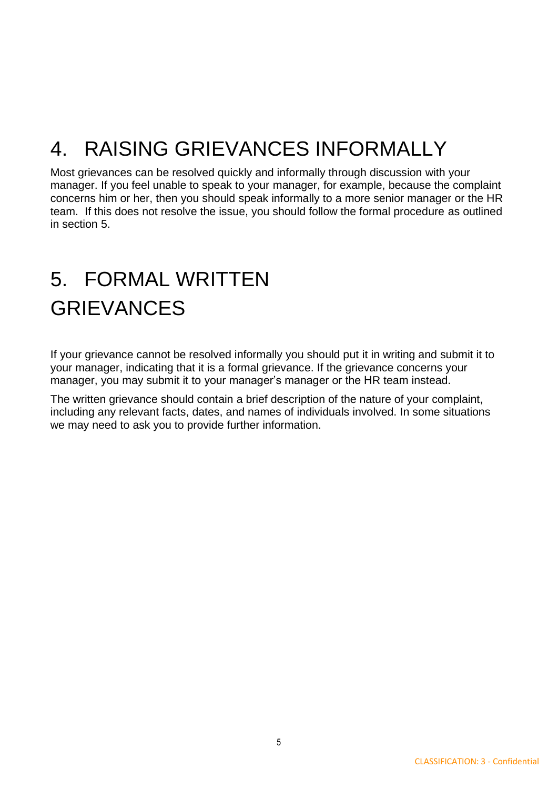# 4. RAISING GRIEVANCES INFORMALLY

Most grievances can be resolved quickly and informally through discussion with your manager. If you feel unable to speak to your manager, for example, because the complaint concerns him or her, then you should speak informally to a more senior manager or the HR team. If this does not resolve the issue, you should follow the formal procedure as outlined in section 5.

# 5. FORMAL WRITTEN GRIEVANCES

If your grievance cannot be resolved informally you should put it in writing and submit it to your manager, indicating that it is a formal grievance. If the grievance concerns your manager, you may submit it to your manager's manager or the HR team instead.

The written grievance should contain a brief description of the nature of your complaint, including any relevant facts, dates, and names of individuals involved. In some situations we may need to ask you to provide further information.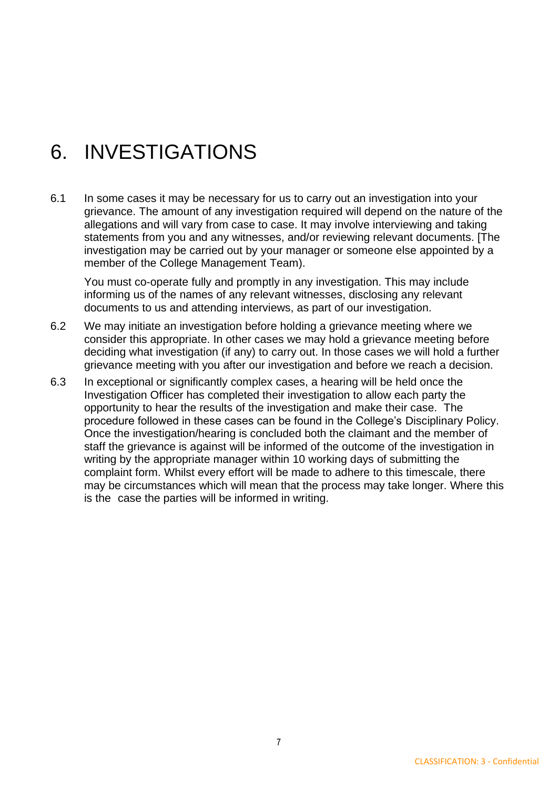## 6. INVESTIGATIONS

6.1 In some cases it may be necessary for us to carry out an investigation into your grievance. The amount of any investigation required will depend on the nature of the allegations and will vary from case to case. It may involve interviewing and taking statements from you and any witnesses, and/or reviewing relevant documents. [The investigation may be carried out by your manager or someone else appointed by a member of the College Management Team).

You must co-operate fully and promptly in any investigation. This may include informing us of the names of any relevant witnesses, disclosing any relevant documents to us and attending interviews, as part of our investigation.

- 6.2 We may initiate an investigation before holding a grievance meeting where we consider this appropriate. In other cases we may hold a grievance meeting before deciding what investigation (if any) to carry out. In those cases we will hold a further grievance meeting with you after our investigation and before we reach a decision.
- 6.3 In exceptional or significantly complex cases, a hearing will be held once the Investigation Officer has completed their investigation to allow each party the opportunity to hear the results of the investigation and make their case. The procedure followed in these cases can be found in the College's Disciplinary Policy. Once the investigation/hearing is concluded both the claimant and the member of staff the grievance is against will be informed of the outcome of the investigation in writing by the appropriate manager within 10 working days of submitting the complaint form. Whilst every effort will be made to adhere to this timescale, there may be circumstances which will mean that the process may take longer. Where this is the case the parties will be informed in writing.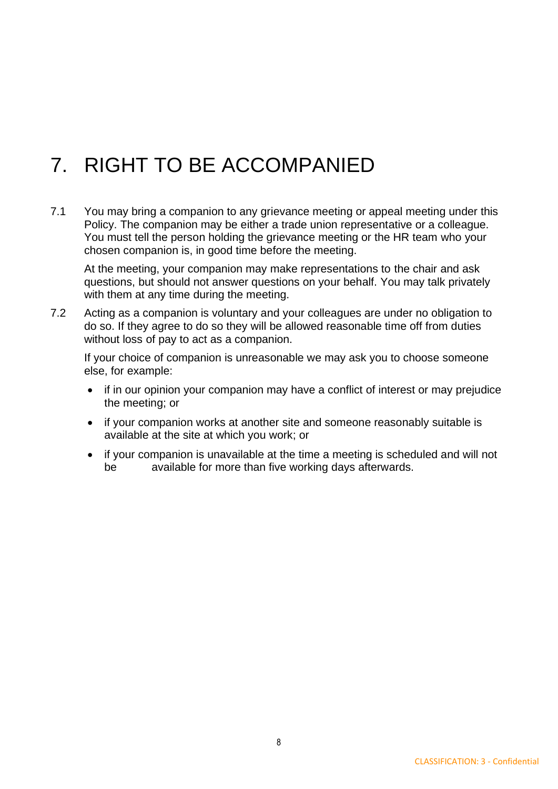# 7. RIGHT TO BE ACCOMPANIED

7.1 You may bring a companion to any grievance meeting or appeal meeting under this Policy. The companion may be either a trade union representative or a colleague. You must tell the person holding the grievance meeting or the HR team who your chosen companion is, in good time before the meeting.

At the meeting, your companion may make representations to the chair and ask questions, but should not answer questions on your behalf. You may talk privately with them at any time during the meeting.

7.2 Acting as a companion is voluntary and your colleagues are under no obligation to do so. If they agree to do so they will be allowed reasonable time off from duties without loss of pay to act as a companion.

If your choice of companion is unreasonable we may ask you to choose someone else, for example:

- if in our opinion your companion may have a conflict of interest or may prejudice the meeting; or
- if your companion works at another site and someone reasonably suitable is available at the site at which you work; or
- if your companion is unavailable at the time a meeting is scheduled and will not be available for more than five working days afterwards.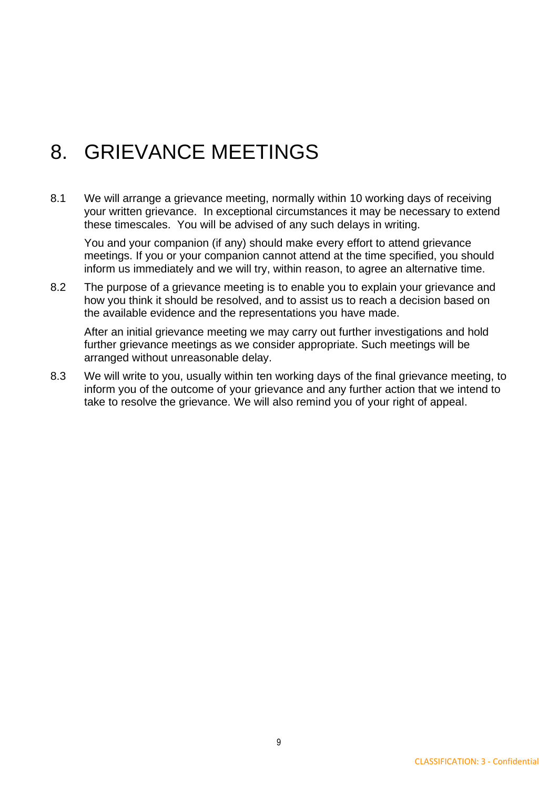## 8. GRIEVANCE MEETINGS

8.1 We will arrange a grievance meeting, normally within 10 working days of receiving your written grievance. In exceptional circumstances it may be necessary to extend these timescales. You will be advised of any such delays in writing.

You and your companion (if any) should make every effort to attend grievance meetings. If you or your companion cannot attend at the time specified, you should inform us immediately and we will try, within reason, to agree an alternative time.

8.2 The purpose of a grievance meeting is to enable you to explain your grievance and how you think it should be resolved, and to assist us to reach a decision based on the available evidence and the representations you have made.

After an initial grievance meeting we may carry out further investigations and hold further grievance meetings as we consider appropriate. Such meetings will be arranged without unreasonable delay.

8.3 We will write to you, usually within ten working days of the final grievance meeting, to inform you of the outcome of your grievance and any further action that we intend to take to resolve the grievance. We will also remind you of your right of appeal.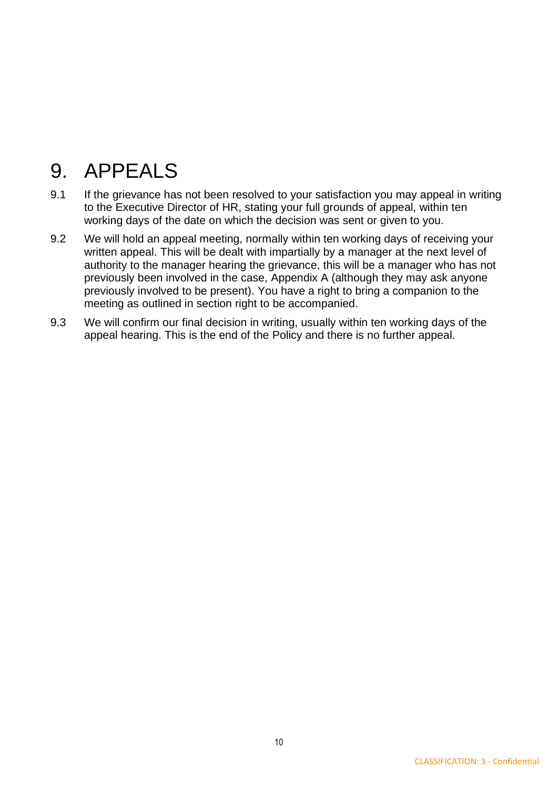## 9. APPEALS

- 9.1 If the grievance has not been resolved to your satisfaction you may appeal in writing to the Executive Director of HR, stating your full grounds of appeal, within ten working days of the date on which the decision was sent or given to you.
- 9.2 We will hold an appeal meeting, normally within ten working days of receiving your written appeal. This will be dealt with impartially by a manager at the next level of authority to the manager hearing the grievance, this will be a manager who has not previously been involved in the case, Appendix A (although they may ask anyone previously involved to be present). You have a right to bring a companion to the meeting as outlined in section right to be accompanied.
- 9.3 We will confirm our final decision in writing, usually within ten working days of the appeal hearing. This is the end of the Policy and there is no further appeal.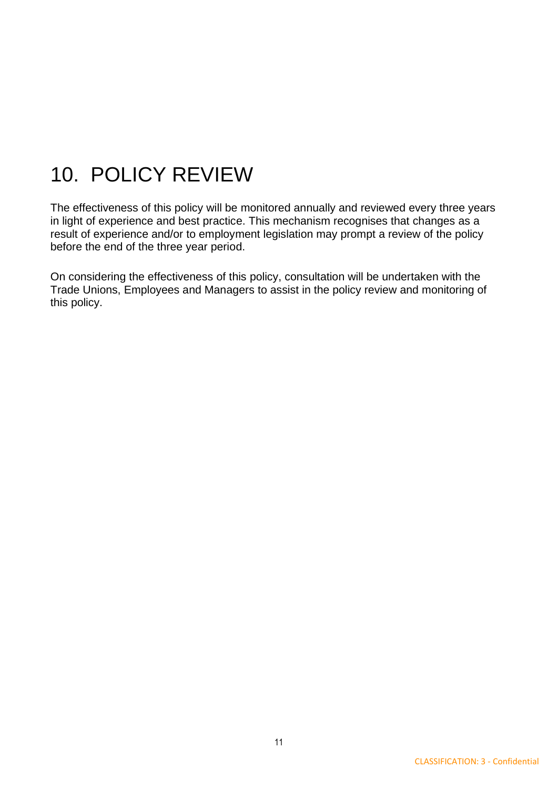## 10. POLICY REVIEW

The effectiveness of this policy will be monitored annually and reviewed every three years in light of experience and best practice. This mechanism recognises that changes as a result of experience and/or to employment legislation may prompt a review of the policy before the end of the three year period.

On considering the effectiveness of this policy, consultation will be undertaken with the Trade Unions, Employees and Managers to assist in the policy review and monitoring of this policy.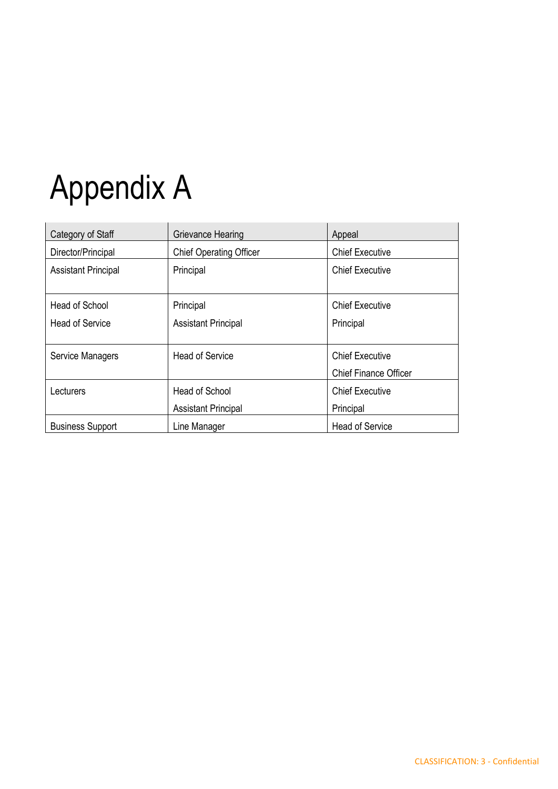# Appendix A

| Category of Staff          | Grievance Hearing                            | Appeal                                                 |
|----------------------------|----------------------------------------------|--------------------------------------------------------|
| Director/Principal         | <b>Chief Operating Officer</b>               | <b>Chief Executive</b>                                 |
| <b>Assistant Principal</b> | Principal                                    | <b>Chief Executive</b>                                 |
| Head of School             | Principal                                    | <b>Chief Executive</b>                                 |
| <b>Head of Service</b>     | <b>Assistant Principal</b>                   | Principal                                              |
| Service Managers           | <b>Head of Service</b>                       | <b>Chief Executive</b><br><b>Chief Finance Officer</b> |
| Lecturers                  | Head of School<br><b>Assistant Principal</b> | <b>Chief Executive</b><br>Principal                    |
| <b>Business Support</b>    | Line Manager                                 | <b>Head of Service</b>                                 |